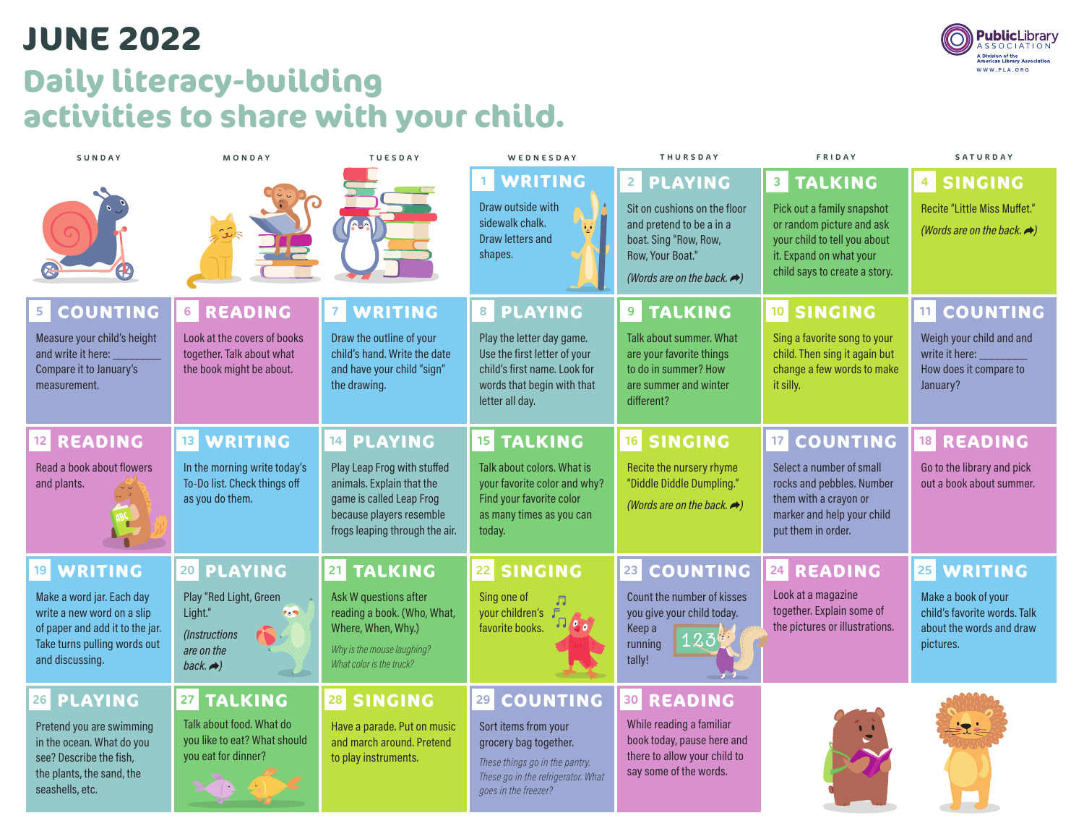## **Daily literacy-building activities to share with your child. JUNE 2022**

| SUNDAY                                                                                                                                        | MONDAY                                                                                          | <b>TUESDAY</b>                                                                                                                                     | WEDNESDAY                                                                                                                                     | <b>THURSDAY</b>                                                                                                                                                               | FRIDAY                                                                                                                                                                  | SATURDAY                                                                                                           |
|-----------------------------------------------------------------------------------------------------------------------------------------------|-------------------------------------------------------------------------------------------------|----------------------------------------------------------------------------------------------------------------------------------------------------|-----------------------------------------------------------------------------------------------------------------------------------------------|-------------------------------------------------------------------------------------------------------------------------------------------------------------------------------|-------------------------------------------------------------------------------------------------------------------------------------------------------------------------|--------------------------------------------------------------------------------------------------------------------|
| GŁ                                                                                                                                            |                                                                                                 |                                                                                                                                                    | <b>WRITING</b><br>1<br>Draw outside with<br>sidewalk chalk.<br>Draw letters and<br>shapes.                                                    | PLAYING<br>$\overline{2}$<br>Sit on cushions on the floor<br>and pretend to be a in a<br>boat. Sing "Row, Row,<br>Row, Your Boat."<br>(Words are on the back. $\rightarrow$ ) | <b>8 TALKING</b><br>Pick out a family snapshot<br>or random picture and ask<br>your child to tell you about<br>it. Expand on what your<br>child says to create a story. | <b>SINGING</b><br>4 <sup>1</sup><br><b>Recite "Little Miss Muffet."</b><br>(Words are on the back. $\rightarrow$ ) |
| <b>COUNTING</b><br>5                                                                                                                          | <b>6 READING</b>                                                                                | WRITING<br>7 <sup>7</sup>                                                                                                                          | PLAYING<br>8                                                                                                                                  | <b>TALKING</b><br>9 <sup>1</sup>                                                                                                                                              | 10 SINGING                                                                                                                                                              | <b>COUNTING</b><br>11                                                                                              |
| Measure your child's height<br>and write it here:<br>Compare it to January's<br>measurement.                                                  | Look at the covers of books<br>together. Talk about what<br>the book might be about.            | Draw the outline of your<br>child's hand. Write the date<br>and have your child "sign"<br>the drawing.                                             | Play the letter day game.<br>Use the first letter of your<br>child's first name. Look for<br>words that begin with that<br>letter all day.    | Talk about summer. What<br>are your favorite things<br>to do in summer? How<br>are summer and winter<br>different?                                                            | Sing a favorite song to your<br>child. Then sing it again but<br>change a few words to make<br>it silly.                                                                | Weigh your child and and<br>write it here:<br>How does it compare to<br>January?                                   |
| <b>READING</b><br>12                                                                                                                          | 13 WRITING                                                                                      | 14 PLAYING                                                                                                                                         | <b>TALKING</b><br>15 <sup>1</sup>                                                                                                             | 16 SINGING                                                                                                                                                                    | <b>17 COUNTING</b>                                                                                                                                                      | 18 READING                                                                                                         |
| Read a book about flowers<br>and plants.                                                                                                      | In the morning write today's<br>To-Do list. Check things off<br>as you do them.                 | Play Leap Frog with stuffed<br>animals. Explain that the<br>game is called Leap Frog<br>because players resemble<br>frogs leaping through the air. | Talk about colors. What is<br>your favorite color and why?<br>Find your favorite color<br>as many times as you can<br>today.                  | Recite the nursery rhyme<br>"Diddle Diddle Dumpling."<br>(Words are on the back. $\rightarrow$ )                                                                              | Select a number of small<br>rocks and pebbles. Number<br>them with a crayon or<br>marker and help your child<br>put them in order.                                      | Go to the library and pick<br>out a book about summer.                                                             |
| <b>WRITING</b><br>19                                                                                                                          | 20 PLAYING                                                                                      | 21 TALKING                                                                                                                                         | <b>SINGING</b><br>22                                                                                                                          | <b>COUNTING</b><br>23                                                                                                                                                         | 24 READING                                                                                                                                                              | <b>WRITING</b><br>25                                                                                               |
| Make a word jar. Each day<br>write a new word on a slip<br>of paper and add it to the jar.<br>Take turns pulling words out<br>and discussing. | Play "Red Light, Green<br>Light."<br>P. W<br>(Instructions<br>are on the<br>back. $\rightarrow$ | Ask W questions after<br>reading a book. (Who, What,<br>Where, When, Why.)<br>Why is the mouse laughing?<br>What color is the truck?               | Sing one of<br>$\overline{\mathbb{J}}$<br>your children's F<br>$\cdot$<br>favorite books.                                                     | Count the number of kisses<br>you give your child today.<br>Keep a<br>123<br>running<br>tally!                                                                                | Look at a magazine<br>together. Explain some of<br>the pictures or illustrations.                                                                                       | Make a book of your<br>child's favorite words. Talk<br>about the words and draw<br>pictures.                       |
| 26 PLAYING                                                                                                                                    | <b>TALKING</b><br>27                                                                            | 28 SINGING                                                                                                                                         | <b>COUNTING</b><br>29                                                                                                                         | 30 READING                                                                                                                                                                    |                                                                                                                                                                         |                                                                                                                    |
| Pretend you are swimming<br>in the ocean. What do you<br>see? Describe the fish,<br>the plants, the sand, the<br>seashells, etc.              | Talk about food. What do<br>you like to eat? What should<br>you eat for dinner?                 | Have a parade. Put on music<br>and march around. Pretend<br>to play instruments.                                                                   | Sort items from your<br>grocery bag together.<br>These things go in the pantry.<br>These go in the refrigerator. What<br>goes in the freezer? | While reading a familiar<br>book today, pause here and<br>there to allow your child to<br>say some of the words.                                                              |                                                                                                                                                                         | ' $\bullet$                                                                                                        |